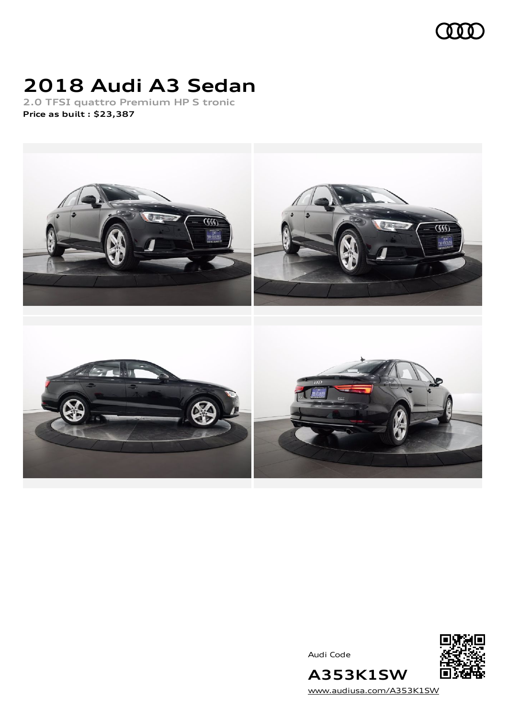

# **2018 Audi A3 Sedan**

**2.0 TFSI quattro Premium HP S tronic Price as built [:](#page-10-0) \$23,387**



Audi Code



[www.audiusa.com/A353K1SW](https://www.audiusa.com/A353K1SW)

**A353K1SW**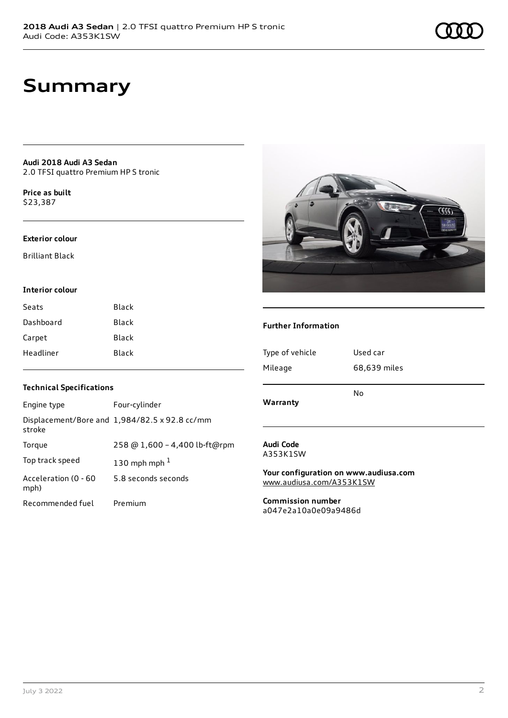## **Summary**

**Audi 2018 Audi A3 Sedan** 2.0 TFSI quattro Premium HP S tronic

**Price as buil[t](#page-10-0)** \$23,387

#### **Exterior colour**

Brilliant Black

#### **Interior colour**

| Black |
|-------|
| Black |
| Black |
| Black |
|       |



#### **Further Information**

| Type of vehicle | Used car     |
|-----------------|--------------|
| Mileage         | 68,639 miles |
| Warranty        | No           |
|                 |              |

#### **Technical Specifications**

| Engine type                  | Four-cylinder                                 |
|------------------------------|-----------------------------------------------|
| stroke                       | Displacement/Bore and 1,984/82.5 x 92.8 cc/mm |
| Torque                       | 258 @ 1,600 - 4,400 lb-ft@rpm                 |
| Top track speed              | 130 mph mph $1$                               |
| Acceleration (0 - 60<br>mph) | 5.8 seconds seconds                           |
| Recommended fuel             | Premium                                       |

#### **Audi Code** A353K1SW

**Your configuration on www.audiusa.com** [www.audiusa.com/A353K1SW](https://www.audiusa.com/A353K1SW)

**Commission number** a047e2a10a0e09a9486d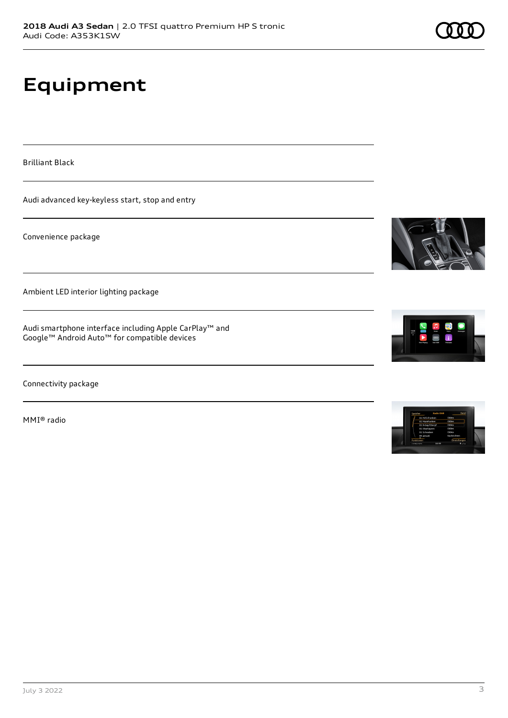# **Equipment**

Brilliant Black

Audi advanced key-keyless start, stop and entry

Convenience package

Ambient LED interior lighting package

Audi smartphone interface including Apple CarPlay™ and Google™ Android Auto™ for compatible devices

Connectivity package

MMI® radio







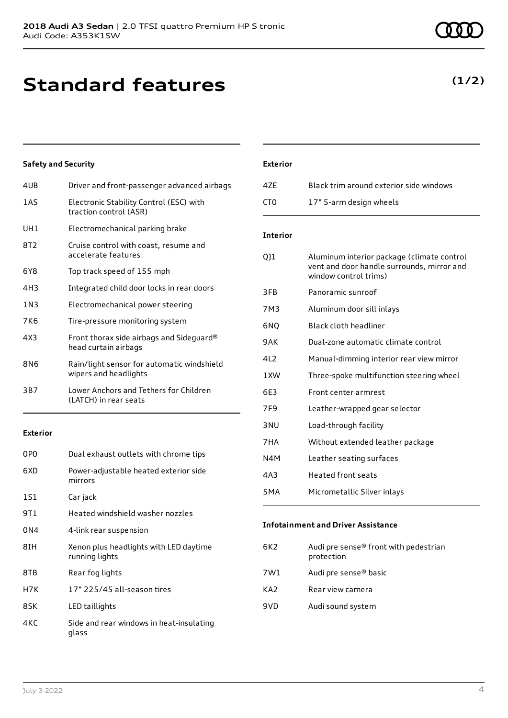# **Standard features**

### **Safety and Security**

| 4UB   | Driver and front-passenger advanced airbags                         |
|-------|---------------------------------------------------------------------|
| 1AS   | Electronic Stability Control (ESC) with<br>traction control (ASR)   |
| UH1   | Electromechanical parking brake                                     |
| 8T2   | Cruise control with coast, resume and<br>accelerate features        |
| 6Y8   | Top track speed of 155 mph                                          |
| 4H3   | Integrated child door locks in rear doors                           |
| 1 N 3 | Electromechanical power steering                                    |
| 7K6   | Tire-pressure monitoring system                                     |
| 4X3   | Front thorax side airbags and Sideguard®<br>head curtain airbags    |
| 8N6   | Rain/light sensor for automatic windshield<br>wipers and headlights |
| 3B7   | Lower Anchors and Tethers for Children<br>(LATCH) in rear seats     |
|       |                                                                     |

#### **Exterior**

| 0P <sub>0</sub> | Dual exhaust outlets with chrome tips                    |
|-----------------|----------------------------------------------------------|
| 6XD             | Power-adjustable heated exterior side<br>mirrors         |
| 1S1             | Car jack                                                 |
| 9T 1            | Heated windshield washer nozzles                         |
| 0N4             | 4-link rear suspension                                   |
| 8IH             | Xenon plus headlights with LED daytime<br>running lights |
| 8TB             | Rear fog lights                                          |
| H7K             | 17" 225/45 all-season tires                              |
| 8SK             | LED taillights                                           |
| 4KC             | Side and rear windows in heat-insulating<br>glass        |

#### **Exterior**

| 47F  | Black trim around exterior side windows |
|------|-----------------------------------------|
| CT0. | 17" 5-arm design wheels                 |

#### **Interior**

| QJ1              | Aluminum interior package (climate control<br>vent and door handle surrounds, mirror and<br>window control trims) |
|------------------|-------------------------------------------------------------------------------------------------------------------|
| 3FB              | Panoramic sunroof                                                                                                 |
| 7M3              | Aluminum door sill inlays                                                                                         |
| 6NO              | Black cloth headliner                                                                                             |
| 9AK              | Dual-zone automatic climate control                                                                               |
| 412              | Manual-dimming interior rear view mirror                                                                          |
| 1 XW             | Three-spoke multifunction steering wheel                                                                          |
| 6E3              | Front center armrest                                                                                              |
| 7F9              | Leather-wrapped gear selector                                                                                     |
| 3 <sub>NU</sub>  | Load-through facility                                                                                             |
| 7HA              | Without extended leather package                                                                                  |
| N4M              | Leather seating surfaces                                                                                          |
| 4A3              | <b>Heated front seats</b>                                                                                         |
| 5 <sub>M</sub> A | Micrometallic Silver inlays                                                                                       |
|                  |                                                                                                                   |

#### **Infotainment and Driver Assistance**

| 6K2 | Audi pre sense® front with pedestrian<br>protection |
|-----|-----------------------------------------------------|
| 7W1 | Audi pre sense® basic                               |
| KA2 | Rear view camera                                    |
| 9VD | Audi sound system                                   |

### **(1/2)**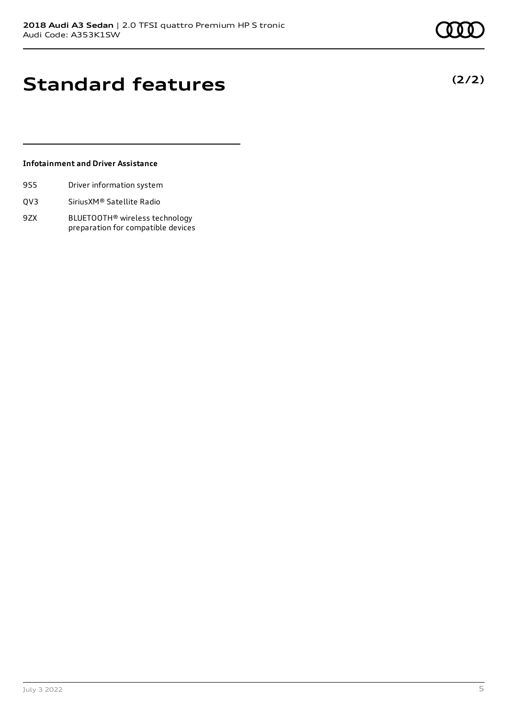**(2/2)**

# **Standard features**

#### **Infotainment and Driver Assistance**

- 9S5 Driver information system
- QV3 SiriusXM® Satellite Radio
- 9ZX BLUETOOTH® wireless technology preparation for compatible devices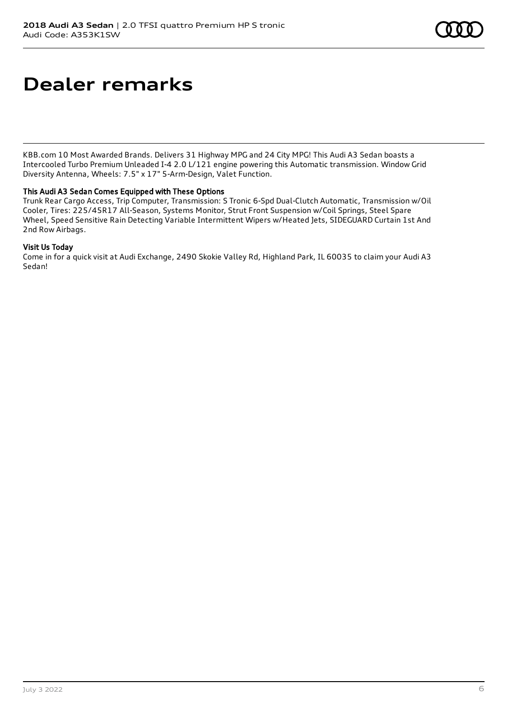# **Dealer remarks**

KBB.com 10 Most Awarded Brands. Delivers 31 Highway MPG and 24 City MPG! This Audi A3 Sedan boasts a Intercooled Turbo Premium Unleaded I-4 2.0 L/121 engine powering this Automatic transmission. Window Grid Diversity Antenna, Wheels: 7.5" x 17" 5-Arm-Design, Valet Function.

#### This Audi A3 Sedan Comes Equipped with These Options

Trunk Rear Cargo Access, Trip Computer, Transmission: S Tronic 6-Spd Dual-Clutch Automatic, Transmission w/Oil Cooler, Tires: 225/45R17 All-Season, Systems Monitor, Strut Front Suspension w/Coil Springs, Steel Spare Wheel, Speed Sensitive Rain Detecting Variable Intermittent Wipers w/Heated Jets, SIDEGUARD Curtain 1st And 2nd Row Airbags.

#### Visit Us Today

Come in for a quick visit at Audi Exchange, 2490 Skokie Valley Rd, Highland Park, IL 60035 to claim your Audi A3 Sedan!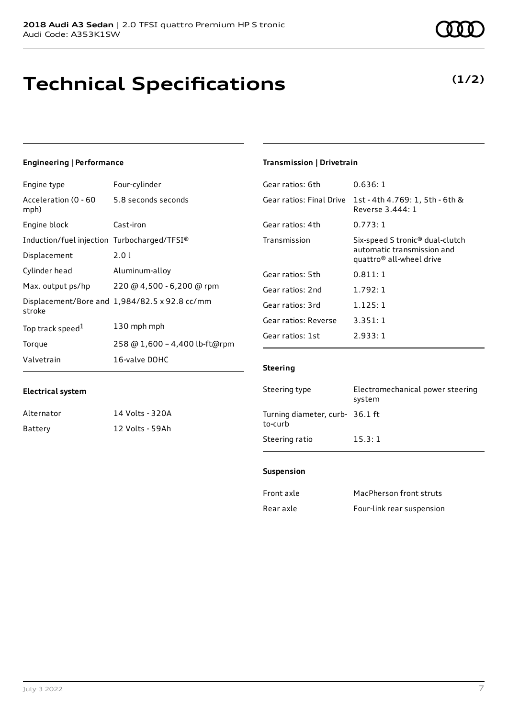# **Technical Specifications**

#### July 3 2022 7

### **Engineering | Performance**

**Electrical system**

Alternator 14 Volts - 320A Battery 12 Volts - 59Ah

Engine type Four-cylinder

| Acceleration (0 - 60<br>mph)                | 5.8 seconds seconds                           |
|---------------------------------------------|-----------------------------------------------|
| Engine block                                | Cast-iron                                     |
| Induction/fuel injection Turbocharged/TFSI® |                                               |
| Displacement                                | 2.01                                          |
| Cylinder head                               | Aluminum-alloy                                |
| Max. output ps/hp                           | 220 @ 4,500 - 6,200 @ rpm                     |
| stroke                                      | Displacement/Bore and 1,984/82.5 x 92.8 cc/mm |
| Top track speed <sup>1</sup>                | 130 mph mph                                   |
| Torque                                      | 258 @ 1,600 - 4,400 lb-ft@rpm                 |
| Valvetrain                                  | 16-valve DOHC                                 |

#### **Transmission | Drivetrain**

| Gear ratios: 6th         | 0.636:1                                                                                                           |
|--------------------------|-------------------------------------------------------------------------------------------------------------------|
| Gear ratios: Final Drive | 1st - 4th 4.769: 1, 5th - 6th &<br>Reverse 3,444: 1                                                               |
| Gear ratios: 4th         | 0.773:1                                                                                                           |
| Transmission             | Six-speed S tronic <sup>®</sup> dual-clutch<br>automatic transmission and<br>quattro <sup>®</sup> all-wheel drive |
| Gear ratios: 5th         | 0.811:1                                                                                                           |
| Gear ratios: 2nd         | 1.792:1                                                                                                           |
| Gear ratios: 3rd         | 1.125:1                                                                                                           |
| Gear ratios: Reverse     | 3.351:1                                                                                                           |
| Gear ratios: 1st         | 2.933:1                                                                                                           |

#### **Steering**

| Steering type                              | Electromechanical power steering<br>system |
|--------------------------------------------|--------------------------------------------|
| Turning diameter, curb- 36.1 ft<br>to-curb |                                            |
| Steering ratio                             | 15.3:1                                     |

#### **Suspension**

| Front axle | MacPherson front struts   |
|------------|---------------------------|
| Rear axle  | Four-link rear suspension |

### **(1/2)**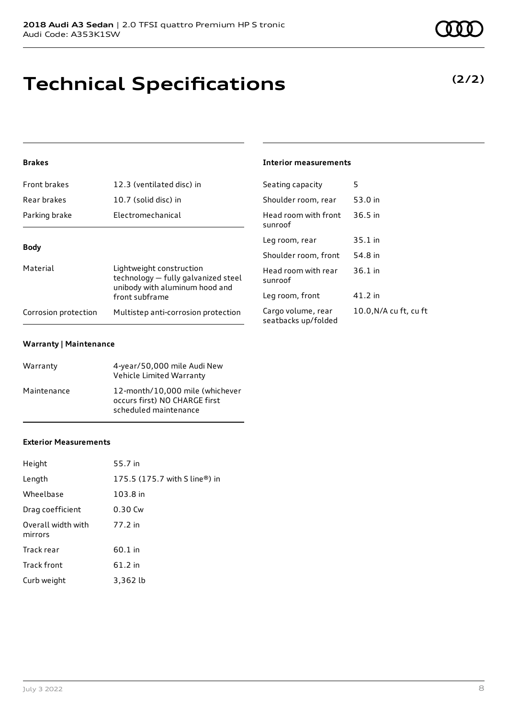## **Technical Specifications**

### **Brakes**

| Front brakes         | 12.3 (ventilated disc) in                                                                         | Se       |
|----------------------|---------------------------------------------------------------------------------------------------|----------|
| Rear brakes          | 10.7 (solid disc) in                                                                              | Sł       |
| Parking brake        | Electromechanical                                                                                 | H١       |
|                      |                                                                                                   | SL<br>Le |
| <b>Body</b>          |                                                                                                   | Sł       |
| Material             | Lightweight construction<br>technology - fully galvanized steel<br>unibody with aluminum hood and |          |
|                      | front subframe                                                                                    | Le       |
| Corrosion protection | Multistep anti-corrosion protection                                                               | Ca       |

#### **Warranty | Maintenance**

| Warranty    | 4-year/50,000 mile Audi New<br>Vehicle Limited Warranty                                   |
|-------------|-------------------------------------------------------------------------------------------|
| Maintenance | 12-month/10,000 mile (whichever<br>occurs first) NO CHARGE first<br>scheduled maintenance |

#### **Interior measurements**

| Seating capacity                          | 5                      |
|-------------------------------------------|------------------------|
| Shoulder room, rear                       | 53.0 in                |
| Head room with front<br>sunroof           | 36.5 in                |
| Leg room, rear                            | $35.1$ in              |
| Shoulder room, front                      | 54.8 in                |
| Head room with rear<br>sunroof            | $36.1$ in              |
| Leg room, front                           | 41.2 in                |
| Cargo volume, rear<br>seatbacks up/folded | 10.0, N/A cu ft, cu ft |

### **Exterior Measurements**

| Height                        | 55.7 in                                                     |
|-------------------------------|-------------------------------------------------------------|
| Length                        | 175.5 $(175.7 \text{ with } S \text{ line}^{\circledR})$ in |
| Wheelbase                     | 103.8 in                                                    |
| Drag coefficient              | 0.30 Cw                                                     |
| Overall width with<br>mirrors | 77.2 in                                                     |
| Track rear                    | $60.1$ in                                                   |
| Track front                   | 61.2 in                                                     |
| Curb weight                   | 3.362 lb                                                    |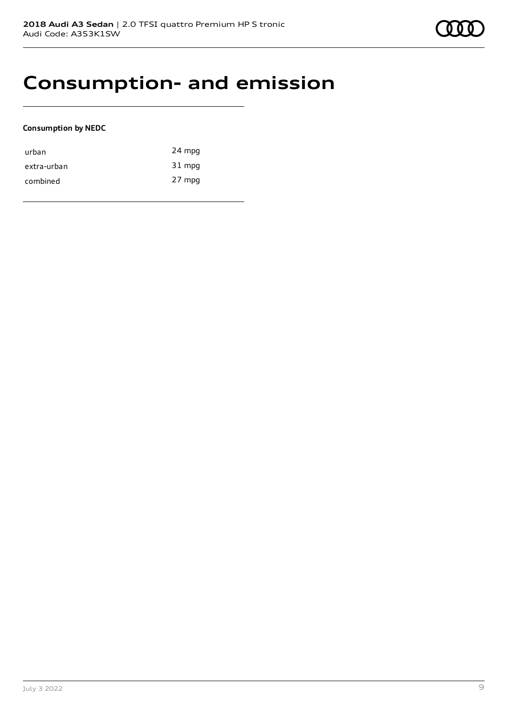

### **Consumption- and emission**

#### **Consumption by NEDC**

| urban       | 24 mpg |
|-------------|--------|
| extra-urban | 31 mpg |
| combined    | 27 mpg |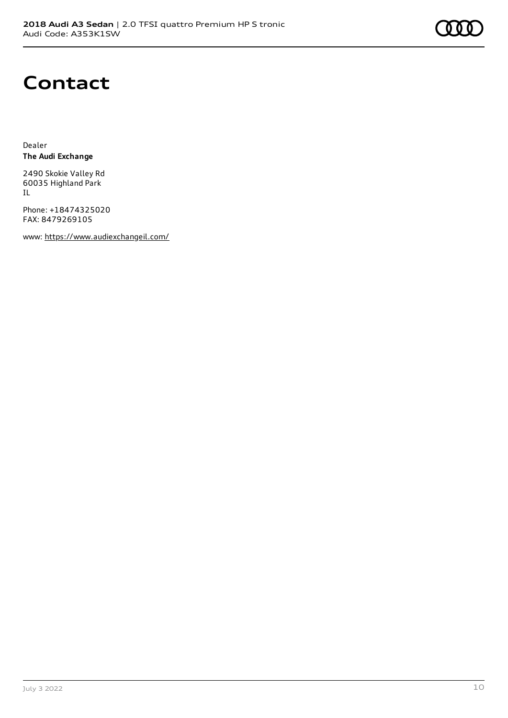

### **Contact**

Dealer **The Audi Exchange**

2490 Skokie Valley Rd 60035 Highland Park IL

Phone: +18474325020 FAX: 8479269105

www: <https://www.audiexchangeil.com/>